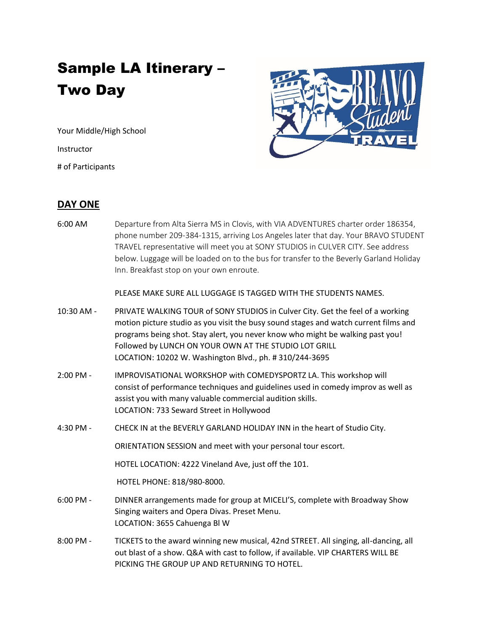## Sample LA Itinerary – Two Day

Your Middle/High School

Instructor

# of Participants



## **DAY ONE**

6:00 AM Departure from Alta Sierra MS in Clovis, with VIA ADVENTURES charter order 186354, phone number 209-384-1315, arriving Los Angeles later that day. Your BRAVO STUDENT TRAVEL representative will meet you at SONY STUDIOS in CULVER CITY. See address below. Luggage will be loaded on to the bus for transfer to the Beverly Garland Holiday Inn. Breakfast stop on your own enroute.

PLEASE MAKE SURE ALL LUGGAGE IS TAGGED WITH THE STUDENTS NAMES.

- 10:30 AM PRIVATE WALKING TOUR of SONY STUDIOS in Culver City. Get the feel of a working motion picture studio as you visit the busy sound stages and watch current films and programs being shot. Stay alert, you never know who might be walking past you! Followed by LUNCH ON YOUR OWN AT THE STUDIO LOT GRILL LOCATION: 10202 W. Washington Blvd., ph. # 310/244-3695
- 2:00 PM IMPROVISATIONAL WORKSHOP with COMEDYSPORTZ LA. This workshop will consist of performance techniques and guidelines used in comedy improv as well as assist you with many valuable commercial audition skills. LOCATION: 733 Seward Street in Hollywood
- 4:30 PM CHECK IN at the BEVERLY GARLAND HOLIDAY INN in the heart of Studio City.

ORIENTATION SESSION and meet with your personal tour escort.

HOTEL LOCATION: 4222 Vineland Ave, just off the 101.

HOTEL PHONE: 818/980-8000.

- 6:00 PM DINNER arrangements made for group at MICELI'S, complete with Broadway Show Singing waiters and Opera Divas. Preset Menu. LOCATION: 3655 Cahuenga Bl W
- 8:00 PM TICKETS to the award winning new musical, 42nd STREET. All singing, all-dancing, all out blast of a show. Q&A with cast to follow, if available. VIP CHARTERS WILL BE PICKING THE GROUP UP AND RETURNING TO HOTEL.